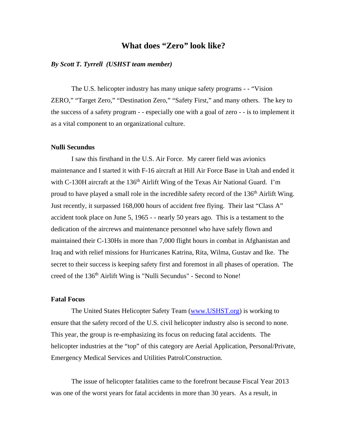# **What does "Zero***"* **look like?**

## *By Scott T. Tyrrell (USHST team member)*

The U.S. helicopter industry has many unique safety programs - - "Vision ZERO," "Target Zero," "Destination Zero," "Safety First," and many others. The key to the success of a safety program - - especially one with a goal of zero - - is to implement it as a vital component to an organizational culture.

## **Nulli Secundus**

 I saw this firsthand in the U.S. Air Force. My career field was avionics maintenance and I started it with F-16 aircraft at Hill Air Force Base in Utah and ended it with C-130H aircraft at the 136<sup>th</sup> Airlift Wing of the Texas Air National Guard. I'm proud to have played a small role in the incredible safety record of the 136<sup>th</sup> Airlift Wing. Just recently, it surpassed 168,000 hours of accident free flying. Their last "Class A" accident took place on June 5, 1965 - - nearly 50 years ago. This is a testament to the dedication of the aircrews and maintenance personnel who have safely flown and maintained their C-130Hs in more than 7,000 flight hours in combat in Afghanistan and Iraq and with relief missions for Hurricanes Katrina, Rita, Wilma, Gustav and Ike. The secret to their success is keeping safety first and foremost in all phases of operation. The creed of the 136<sup>th</sup> Airlift Wing is "Nulli Secundus" - Second to None!

## **Fatal Focus**

The United States Helicopter Safety Team (www.USHST.org) is working to ensure that the safety record of the U.S. civil helicopter industry also is second to none. This year, the group is re-emphasizing its focus on reducing fatal accidents. The helicopter industries at the "top" of this category are Aerial Application, Personal/Private, Emergency Medical Services and Utilities Patrol/Construction.

The issue of helicopter fatalities came to the forefront because Fiscal Year 2013 was one of the worst years for fatal accidents in more than 30 years. As a result, in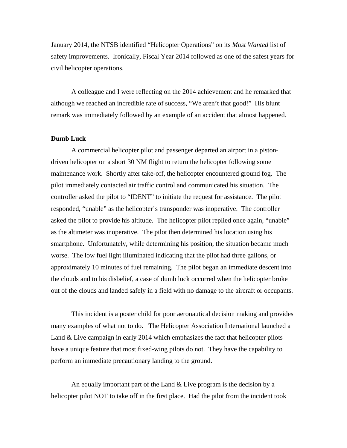January 2014, the NTSB identified "Helicopter Operations" on its *Most Wanted* list of safety improvements. Ironically, Fiscal Year 2014 followed as one of the safest years for civil helicopter operations.

A colleague and I were reflecting on the 2014 achievement and he remarked that although we reached an incredible rate of success, "We aren't that good!" His blunt remark was immediately followed by an example of an accident that almost happened.

#### **Dumb Luck**

A commercial helicopter pilot and passenger departed an airport in a pistondriven helicopter on a short 30 NM flight to return the helicopter following some maintenance work. Shortly after take-off, the helicopter encountered ground fog. The pilot immediately contacted air traffic control and communicated his situation. The controller asked the pilot to "IDENT" to initiate the request for assistance. The pilot responded, "unable" as the helicopter's transponder was inoperative. The controller asked the pilot to provide his altitude. The helicopter pilot replied once again, "unable" as the altimeter was inoperative. The pilot then determined his location using his smartphone. Unfortunately, while determining his position, the situation became much worse. The low fuel light illuminated indicating that the pilot had three gallons, or approximately 10 minutes of fuel remaining. The pilot began an immediate descent into the clouds and to his disbelief, a case of dumb luck occurred when the helicopter broke out of the clouds and landed safely in a field with no damage to the aircraft or occupants.

This incident is a poster child for poor aeronautical decision making and provides many examples of what not to do. The Helicopter Association International launched a Land & Live campaign in early 2014 which emphasizes the fact that helicopter pilots have a unique feature that most fixed-wing pilots do not. They have the capability to perform an immediate precautionary landing to the ground.

An equally important part of the Land  $&$  Live program is the decision by a helicopter pilot NOT to take off in the first place. Had the pilot from the incident took